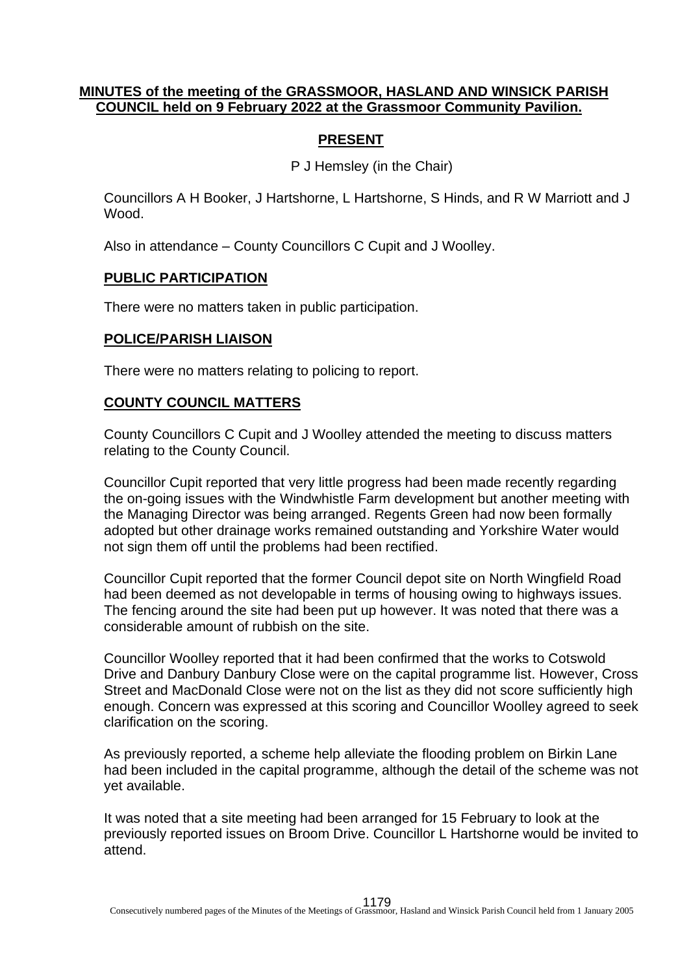### **MINUTES of the meeting of the GRASSMOOR, HASLAND AND WINSICK PARISH COUNCIL held on 9 February 2022 at the Grassmoor Community Pavilion.**

## **PRESENT**

P J Hemsley (in the Chair)

Councillors A H Booker, J Hartshorne, L Hartshorne, S Hinds, and R W Marriott and J Wood.

Also in attendance – County Councillors C Cupit and J Woolley.

#### **PUBLIC PARTICIPATION**

There were no matters taken in public participation.

#### **POLICE/PARISH LIAISON**

There were no matters relating to policing to report.

#### **COUNTY COUNCIL MATTERS**

County Councillors C Cupit and J Woolley attended the meeting to discuss matters relating to the County Council.

Councillor Cupit reported that very little progress had been made recently regarding the on-going issues with the Windwhistle Farm development but another meeting with the Managing Director was being arranged. Regents Green had now been formally adopted but other drainage works remained outstanding and Yorkshire Water would not sign them off until the problems had been rectified.

Councillor Cupit reported that the former Council depot site on North Wingfield Road had been deemed as not developable in terms of housing owing to highways issues. The fencing around the site had been put up however. It was noted that there was a considerable amount of rubbish on the site.

Councillor Woolley reported that it had been confirmed that the works to Cotswold Drive and Danbury Danbury Close were on the capital programme list. However, Cross Street and MacDonald Close were not on the list as they did not score sufficiently high enough. Concern was expressed at this scoring and Councillor Woolley agreed to seek clarification on the scoring.

As previously reported, a scheme help alleviate the flooding problem on Birkin Lane had been included in the capital programme, although the detail of the scheme was not yet available.

It was noted that a site meeting had been arranged for 15 February to look at the previously reported issues on Broom Drive. Councillor L Hartshorne would be invited to attend.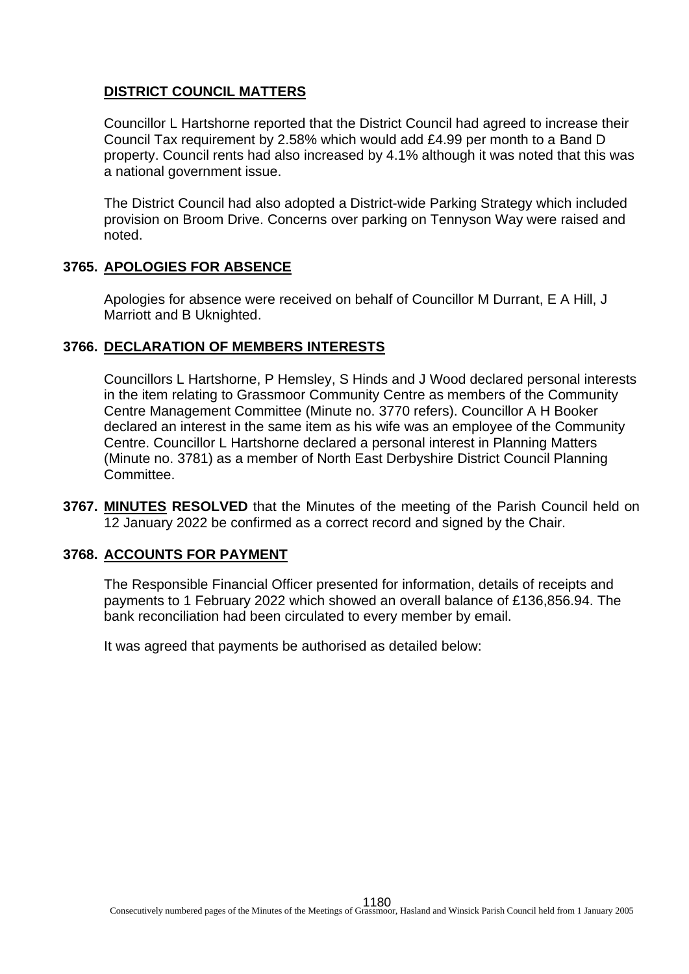# **DISTRICT COUNCIL MATTERS**

Councillor L Hartshorne reported that the District Council had agreed to increase their Council Tax requirement by 2.58% which would add £4.99 per month to a Band D property. Council rents had also increased by 4.1% although it was noted that this was a national government issue.

The District Council had also adopted a District-wide Parking Strategy which included provision on Broom Drive. Concerns over parking on Tennyson Way were raised and noted.

### **3765. APOLOGIES FOR ABSENCE**

Apologies for absence were received on behalf of Councillor M Durrant, E A Hill, J Marriott and B Uknighted.

### **3766. DECLARATION OF MEMBERS INTERESTS**

Councillors L Hartshorne, P Hemsley, S Hinds and J Wood declared personal interests in the item relating to Grassmoor Community Centre as members of the Community Centre Management Committee (Minute no. 3770 refers). Councillor A H Booker declared an interest in the same item as his wife was an employee of the Community Centre. Councillor L Hartshorne declared a personal interest in Planning Matters (Minute no. 3781) as a member of North East Derbyshire District Council Planning Committee.

**3767. MINUTES RESOLVED** that the Minutes of the meeting of the Parish Council held on 12 January 2022 be confirmed as a correct record and signed by the Chair.

### **3768. ACCOUNTS FOR PAYMENT**

The Responsible Financial Officer presented for information, details of receipts and payments to 1 February 2022 which showed an overall balance of £136,856.94. The bank reconciliation had been circulated to every member by email.

It was agreed that payments be authorised as detailed below: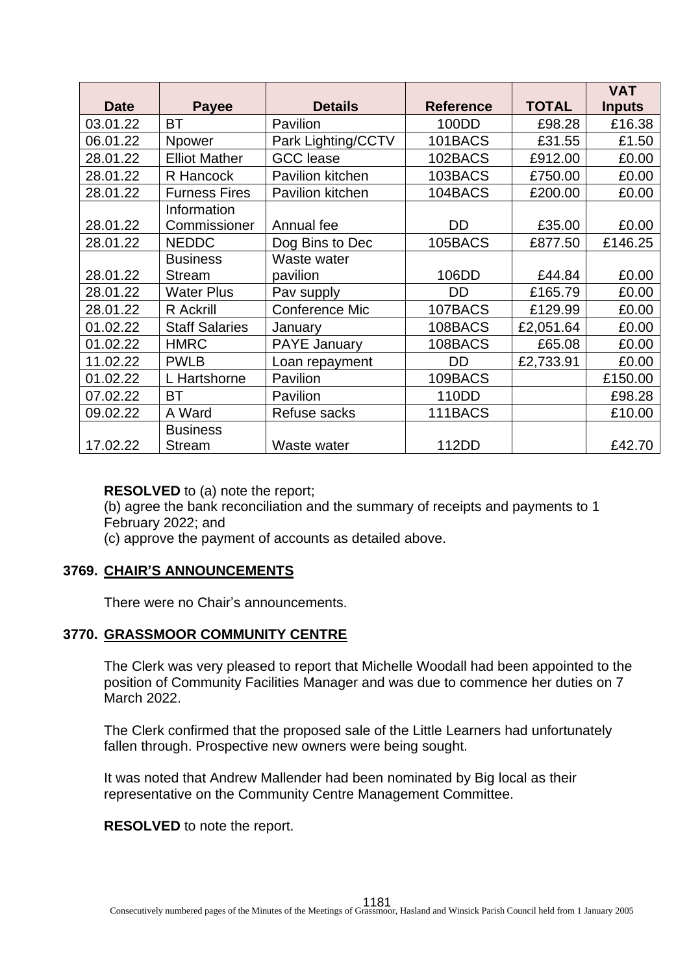|             |                       |                       |                  |              | <b>VAT</b>    |
|-------------|-----------------------|-----------------------|------------------|--------------|---------------|
| <b>Date</b> | <b>Payee</b>          | <b>Details</b>        | <b>Reference</b> | <b>TOTAL</b> | <b>Inputs</b> |
| 03.01.22    | <b>BT</b>             | Pavilion              | 100DD            | £98.28       | £16.38        |
| 06.01.22    | <b>Npower</b>         | Park Lighting/CCTV    | 101BACS          | £31.55       | £1.50         |
| 28.01.22    | <b>Elliot Mather</b>  | <b>GCC</b> lease      | 102BACS          | £912.00      | £0.00         |
| 28.01.22    | R Hancock             | Pavilion kitchen      | 103BACS          | £750.00      | £0.00         |
| 28.01.22    | <b>Furness Fires</b>  | Pavilion kitchen      | 104BACS          | £200.00      | £0.00         |
|             | Information           |                       |                  |              |               |
| 28.01.22    | Commissioner          | Annual fee            | <b>DD</b>        | £35.00       | £0.00         |
| 28.01.22    | <b>NEDDC</b>          | Dog Bins to Dec       | 105BACS          | £877.50      | £146.25       |
|             | <b>Business</b>       | Waste water           |                  |              |               |
| 28.01.22    | <b>Stream</b>         | pavilion              | 106DD            | £44.84       | £0.00         |
| 28.01.22    | <b>Water Plus</b>     | Pav supply            | DD               | £165.79      | £0.00         |
| 28.01.22    | R Ackrill             | <b>Conference Mic</b> | 107BACS          | £129.99      | £0.00         |
| 01.02.22    | <b>Staff Salaries</b> | January               | 108BACS          | £2,051.64    | £0.00         |
| 01.02.22    | <b>HMRC</b>           | <b>PAYE January</b>   | 108BACS          | £65.08       | £0.00         |
| 11.02.22    | <b>PWLB</b>           | Loan repayment        | DD               | £2,733.91    | £0.00         |
| 01.02.22    | L Hartshorne          | Pavilion              | 109BACS          |              | £150.00       |
| 07.02.22    | BT                    | Pavilion              | 110DD            |              | £98.28        |
| 09.02.22    | A Ward                | Refuse sacks          | 111BACS          |              | £10.00        |
|             | <b>Business</b>       |                       |                  |              |               |
| 17.02.22    | <b>Stream</b>         | Waste water           | 112DD            |              | £42.70        |

#### **RESOLVED** to (a) note the report;

(b) agree the bank reconciliation and the summary of receipts and payments to 1 February 2022; and

(c) approve the payment of accounts as detailed above.

### **3769. CHAIR'S ANNOUNCEMENTS**

There were no Chair's announcements.

### **3770. GRASSMOOR COMMUNITY CENTRE**

The Clerk was very pleased to report that Michelle Woodall had been appointed to the position of Community Facilities Manager and was due to commence her duties on 7 March 2022.

The Clerk confirmed that the proposed sale of the Little Learners had unfortunately fallen through. Prospective new owners were being sought.

It was noted that Andrew Mallender had been nominated by Big local as their representative on the Community Centre Management Committee.

**RESOLVED** to note the report.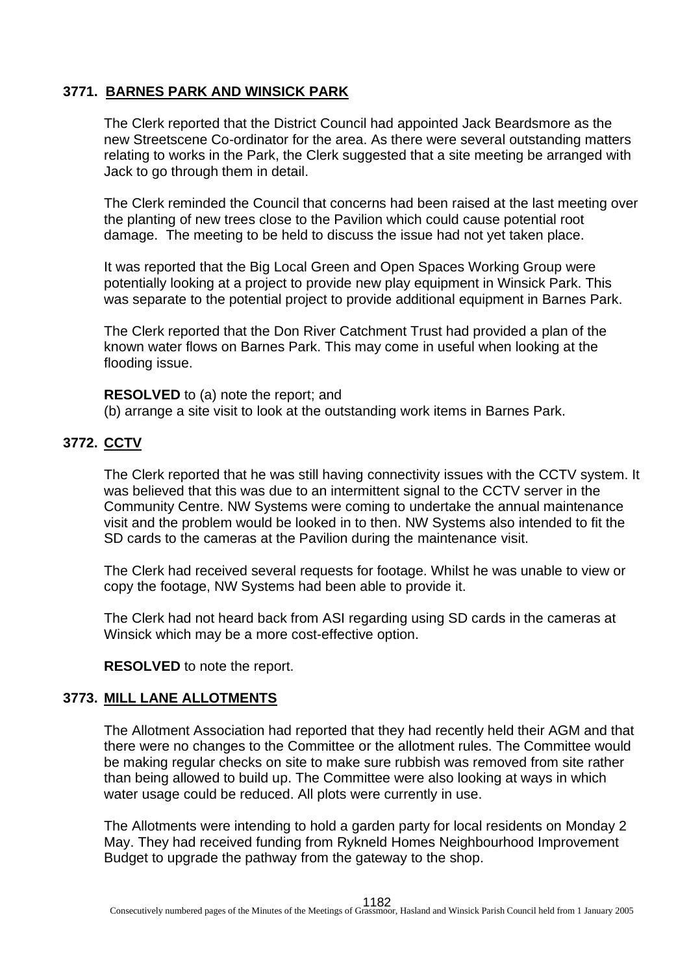## **3771. BARNES PARK AND WINSICK PARK**

The Clerk reported that the District Council had appointed Jack Beardsmore as the new Streetscene Co-ordinator for the area. As there were several outstanding matters relating to works in the Park, the Clerk suggested that a site meeting be arranged with Jack to go through them in detail.

The Clerk reminded the Council that concerns had been raised at the last meeting over the planting of new trees close to the Pavilion which could cause potential root damage. The meeting to be held to discuss the issue had not yet taken place.

It was reported that the Big Local Green and Open Spaces Working Group were potentially looking at a project to provide new play equipment in Winsick Park. This was separate to the potential project to provide additional equipment in Barnes Park.

The Clerk reported that the Don River Catchment Trust had provided a plan of the known water flows on Barnes Park. This may come in useful when looking at the flooding issue.

**RESOLVED** to (a) note the report; and

(b) arrange a site visit to look at the outstanding work items in Barnes Park.

# **3772. CCTV**

The Clerk reported that he was still having connectivity issues with the CCTV system. It was believed that this was due to an intermittent signal to the CCTV server in the Community Centre. NW Systems were coming to undertake the annual maintenance visit and the problem would be looked in to then. NW Systems also intended to fit the SD cards to the cameras at the Pavilion during the maintenance visit.

The Clerk had received several requests for footage. Whilst he was unable to view or copy the footage, NW Systems had been able to provide it.

The Clerk had not heard back from ASI regarding using SD cards in the cameras at Winsick which may be a more cost-effective option.

**RESOLVED** to note the report.

### **3773. MILL LANE ALLOTMENTS**

The Allotment Association had reported that they had recently held their AGM and that there were no changes to the Committee or the allotment rules. The Committee would be making regular checks on site to make sure rubbish was removed from site rather than being allowed to build up. The Committee were also looking at ways in which water usage could be reduced. All plots were currently in use.

The Allotments were intending to hold a garden party for local residents on Monday 2 May. They had received funding from Rykneld Homes Neighbourhood Improvement Budget to upgrade the pathway from the gateway to the shop.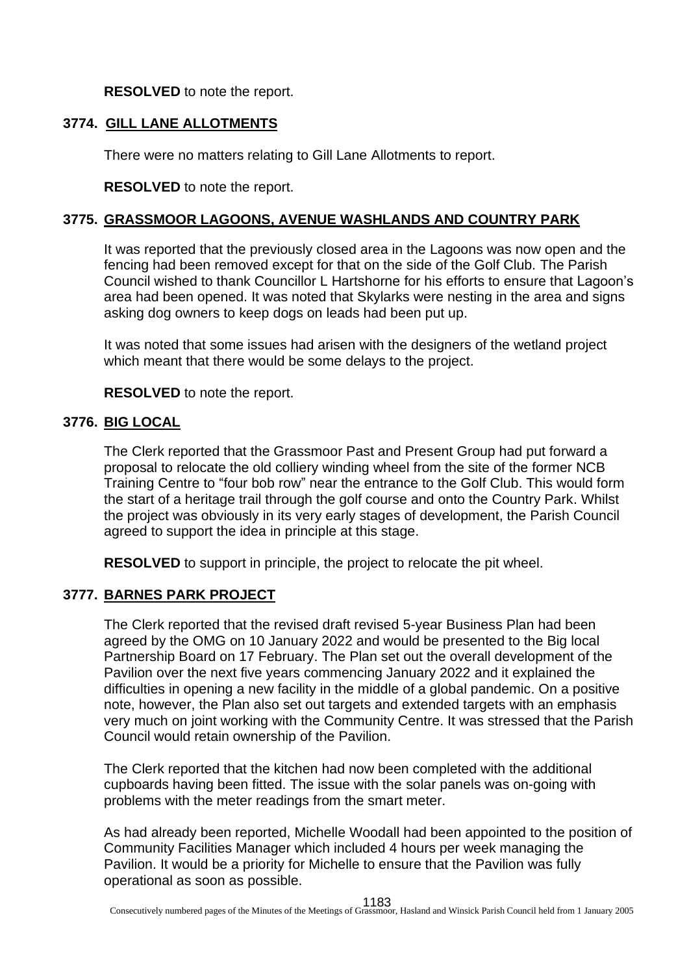**RESOLVED** to note the report.

## **3774. GILL LANE ALLOTMENTS**

There were no matters relating to Gill Lane Allotments to report.

**RESOLVED** to note the report.

## **3775. GRASSMOOR LAGOONS, AVENUE WASHLANDS AND COUNTRY PARK**

It was reported that the previously closed area in the Lagoons was now open and the fencing had been removed except for that on the side of the Golf Club. The Parish Council wished to thank Councillor L Hartshorne for his efforts to ensure that Lagoon's area had been opened. It was noted that Skylarks were nesting in the area and signs asking dog owners to keep dogs on leads had been put up.

It was noted that some issues had arisen with the designers of the wetland project which meant that there would be some delays to the project.

**RESOLVED** to note the report.

# **3776. BIG LOCAL**

The Clerk reported that the Grassmoor Past and Present Group had put forward a proposal to relocate the old colliery winding wheel from the site of the former NCB Training Centre to "four bob row" near the entrance to the Golf Club. This would form the start of a heritage trail through the golf course and onto the Country Park. Whilst the project was obviously in its very early stages of development, the Parish Council agreed to support the idea in principle at this stage.

**RESOLVED** to support in principle, the project to relocate the pit wheel.

### **3777. BARNES PARK PROJECT**

The Clerk reported that the revised draft revised 5-year Business Plan had been agreed by the OMG on 10 January 2022 and would be presented to the Big local Partnership Board on 17 February. The Plan set out the overall development of the Pavilion over the next five years commencing January 2022 and it explained the difficulties in opening a new facility in the middle of a global pandemic. On a positive note, however, the Plan also set out targets and extended targets with an emphasis very much on joint working with the Community Centre. It was stressed that the Parish Council would retain ownership of the Pavilion.

The Clerk reported that the kitchen had now been completed with the additional cupboards having been fitted. The issue with the solar panels was on-going with problems with the meter readings from the smart meter.

As had already been reported, Michelle Woodall had been appointed to the position of Community Facilities Manager which included 4 hours per week managing the Pavilion. It would be a priority for Michelle to ensure that the Pavilion was fully operational as soon as possible.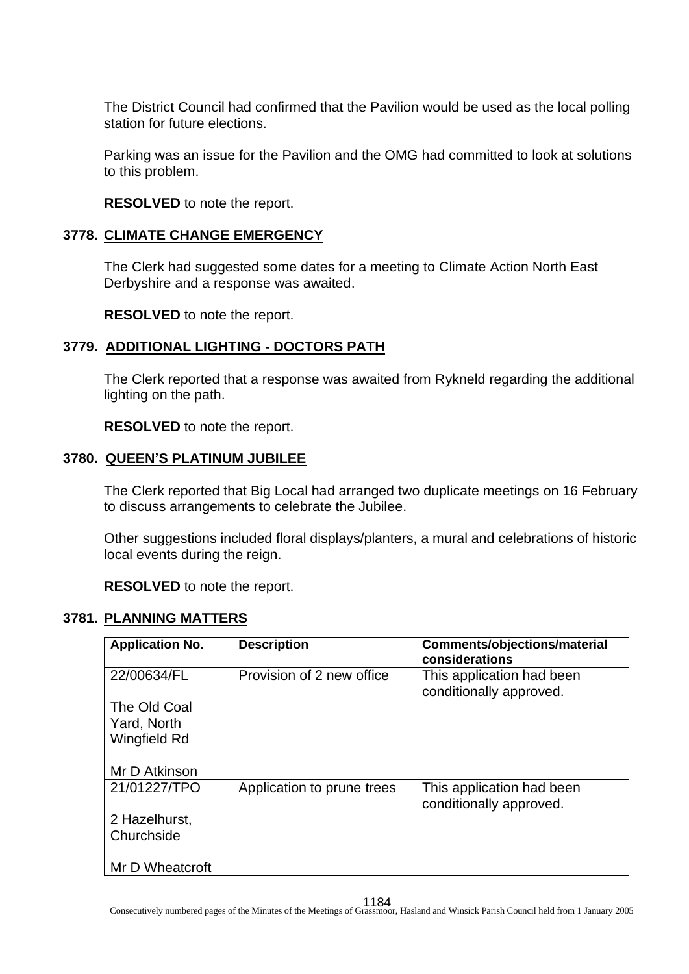The District Council had confirmed that the Pavilion would be used as the local polling station for future elections.

Parking was an issue for the Pavilion and the OMG had committed to look at solutions to this problem.

**RESOLVED** to note the report.

### **3778. CLIMATE CHANGE EMERGENCY**

The Clerk had suggested some dates for a meeting to Climate Action North East Derbyshire and a response was awaited.

**RESOLVED** to note the report.

## **3779. ADDITIONAL LIGHTING - DOCTORS PATH**

The Clerk reported that a response was awaited from Rykneld regarding the additional lighting on the path.

**RESOLVED** to note the report.

### **3780. QUEEN'S PLATINUM JUBILEE**

The Clerk reported that Big Local had arranged two duplicate meetings on 16 February to discuss arrangements to celebrate the Jubilee.

Other suggestions included floral displays/planters, a mural and celebrations of historic local events during the reign.

**RESOLVED** to note the report.

# **3781. PLANNING MATTERS**

| <b>Application No.</b> | <b>Description</b>         | <b>Comments/objections/material</b>                  |
|------------------------|----------------------------|------------------------------------------------------|
|                        |                            | considerations                                       |
| 22/00634/FL            | Provision of 2 new office  | This application had been<br>conditionally approved. |
| The Old Coal           |                            |                                                      |
|                        |                            |                                                      |
| Yard, North            |                            |                                                      |
| Wingfield Rd           |                            |                                                      |
|                        |                            |                                                      |
| Mr D Atkinson          |                            |                                                      |
| 21/01227/TPO           | Application to prune trees | This application had been                            |
|                        |                            | conditionally approved.                              |
|                        |                            |                                                      |
| 2 Hazelhurst,          |                            |                                                      |
| Churchside             |                            |                                                      |
|                        |                            |                                                      |
| Mr D Wheatcroft        |                            |                                                      |